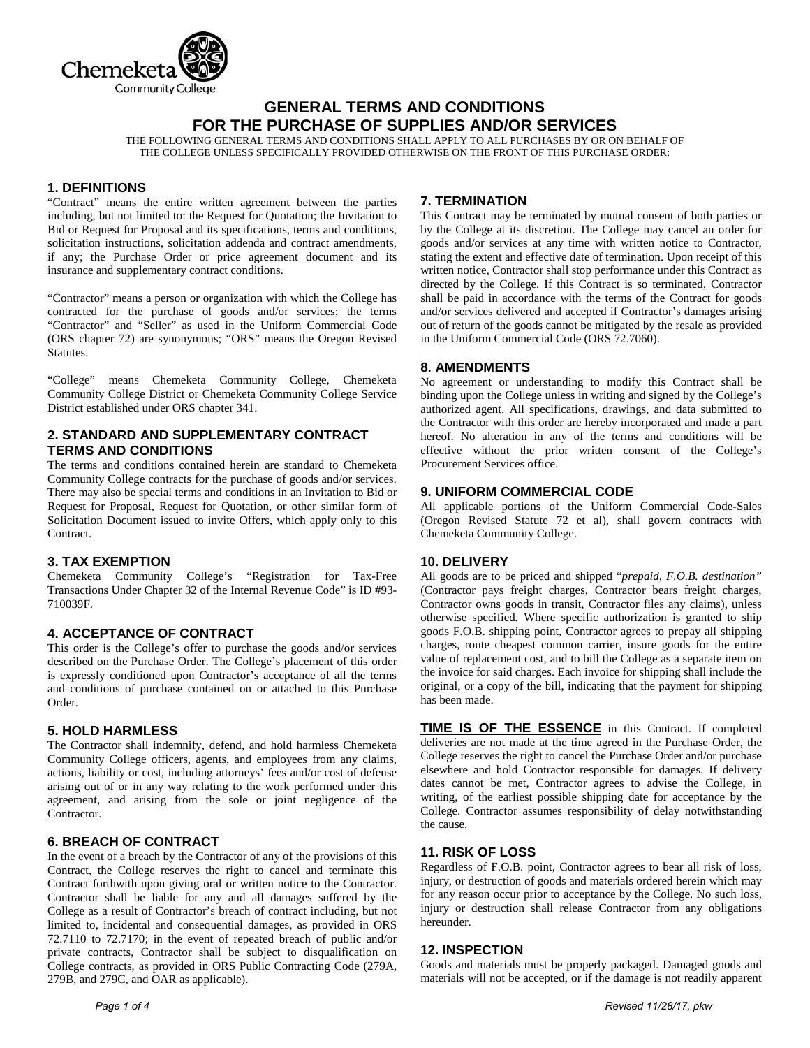

# **GENERAL TERMS AND CONDITIONS FOR THE PURCHASE OF SUPPLIES AND/OR SERVICES**

THE FOLLOWING GENERAL TERMS AND CONDITIONS SHALL APPLY TO ALL PURCHASES BY OR ON BEHALF OF THE COLLEGE UNLESS SPECIFICALLY PROVIDED OTHERWISE ON THE FRONT OF THIS PURCHASE ORDER:

## **1. DEFINITIONS**

"Contract" means the entire written agreement between the parties including, but not limited to: the Request for Quotation; the Invitation to Bid or Request for Proposal and its specifications, terms and conditions, solicitation instructions, solicitation addenda and contract amendments, if any; the Purchase Order or price agreement document and its insurance and supplementary contract conditions.

"Contractor" means a person or organization with which the College has contracted for the purchase of goods and/or services; the terms "Contractor" and "Seller" as used in the Uniform Commercial Code (ORS chapter 72) are synonymous; "ORS" means the Oregon Revised Statutes.

"College" means Chemeketa Community College, Chemeketa Community College District or Chemeketa Community College Service District established under ORS chapter 341.

# **2. STANDARD AND SUPPLEMENTARY CONTRACT TERMS AND CONDITIONS**

The terms and conditions contained herein are standard to Chemeketa Community College contracts for the purchase of goods and/or services. There may also be special terms and conditions in an Invitation to Bid or Request for Proposal, Request for Quotation, or other similar form of Solicitation Document issued to invite Offers, which apply only to this Contract.

## **3. TAX EXEMPTION**

Chemeketa Community College's "Registration for Tax-Free Transactions Under Chapter 32 of the Internal Revenue Code" is ID #93- 710039F.

## **4. ACCEPTANCE OF CONTRACT**

This order is the College's offer to purchase the goods and/or services described on the Purchase Order. The College's placement of this order is expressly conditioned upon Contractor's acceptance of all the terms and conditions of purchase contained on or attached to this Purchase Order.

### **5. HOLD HARMLESS**

The Contractor shall indemnify, defend, and hold harmless Chemeketa Community College officers, agents, and employees from any claims, actions, liability or cost, including attorneys' fees and/or cost of defense arising out of or in any way relating to the work performed under this agreement, and arising from the sole or joint negligence of the Contractor.

### **6. BREACH OF CONTRACT**

In the event of a breach by the Contractor of any of the provisions of this Contract, the College reserves the right to cancel and terminate this Contract forthwith upon giving oral or written notice to the Contractor. Contractor shall be liable for any and all damages suffered by the College as a result of Contractor's breach of contract including, but not limited to, incidental and consequential damages, as provided in ORS 72.7110 to 72.7170; in the event of repeated breach of public and/or private contracts, Contractor shall be subject to disqualification on College contracts, as provided in ORS Public Contracting Code (279A, 279B, and 279C, and OAR as applicable).

## **7. TERMINATION**

This Contract may be terminated by mutual consent of both parties or by the College at its discretion. The College may cancel an order for goods and/or services at any time with written notice to Contractor, stating the extent and effective date of termination. Upon receipt of this written notice, Contractor shall stop performance under this Contract as directed by the College. If this Contract is so terminated, Contractor shall be paid in accordance with the terms of the Contract for goods and/or services delivered and accepted if Contractor's damages arising out of return of the goods cannot be mitigated by the resale as provided in the Uniform Commercial Code (ORS 72.7060).

## **8. AMENDMENTS**

No agreement or understanding to modify this Contract shall be binding upon the College unless in writing and signed by the College's authorized agent. All specifications, drawings, and data submitted to the Contractor with this order are hereby incorporated and made a part hereof. No alteration in any of the terms and conditions will be effective without the prior written consent of the College's Procurement Services office.

## **9. UNIFORM COMMERCIAL CODE**

All applicable portions of the Uniform Commercial Code-Sales (Oregon Revised Statute 72 et al), shall govern contracts with Chemeketa Community College.

### **10. DELIVERY**

All goods are to be priced and shipped "*prepaid, F.O.B. destination"* (Contractor pays freight charges, Contractor bears freight charges, Contractor owns goods in transit, Contractor files any claims), unless otherwise specified*.* Where specific authorization is granted to ship goods F.O.B. shipping point, Contractor agrees to prepay all shipping charges, route cheapest common carrier, insure goods for the entire value of replacement cost, and to bill the College as a separate item on the invoice for said charges. Each invoice for shipping shall include the original, or a copy of the bill, indicating that the payment for shipping has been made.

**TIME IS OF THE ESSENCE** in this Contract. If completed deliveries are not made at the time agreed in the Purchase Order, the College reserves the right to cancel the Purchase Order and/or purchase elsewhere and hold Contractor responsible for damages. If delivery dates cannot be met, Contractor agrees to advise the College, in writing, of the earliest possible shipping date for acceptance by the College. Contractor assumes responsibility of delay notwithstanding the cause.

### **11. RISK OF LOSS**

Regardless of F.O.B. point, Contractor agrees to bear all risk of loss, injury, or destruction of goods and materials ordered herein which may for any reason occur prior to acceptance by the College. No such loss, injury or destruction shall release Contractor from any obligations hereunder.

## **12. INSPECTION**

Goods and materials must be properly packaged. Damaged goods and materials will not be accepted, or if the damage is not readily apparent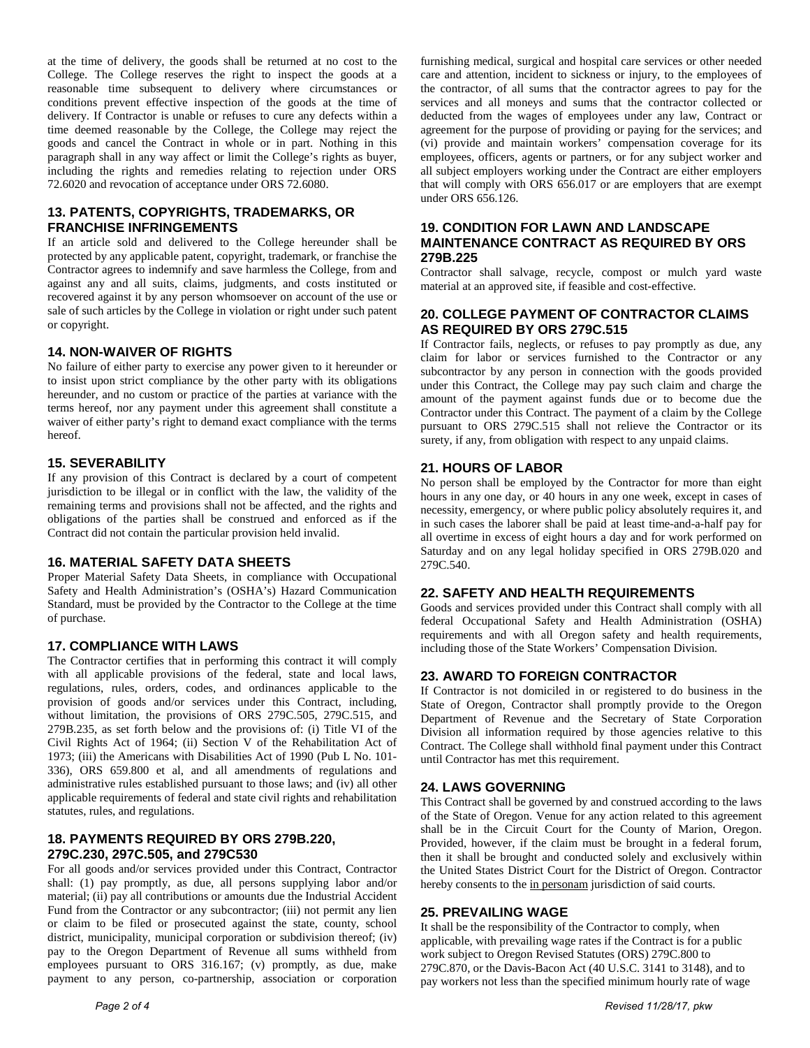at the time of delivery, the goods shall be returned at no cost to the College. The College reserves the right to inspect the goods at a reasonable time subsequent to delivery where circumstances or conditions prevent effective inspection of the goods at the time of delivery. If Contractor is unable or refuses to cure any defects within a time deemed reasonable by the College, the College may reject the goods and cancel the Contract in whole or in part. Nothing in this paragraph shall in any way affect or limit the College's rights as buyer, including the rights and remedies relating to rejection under ORS 72.6020 and revocation of acceptance under ORS 72.6080.

## **13. PATENTS, COPYRIGHTS, TRADEMARKS, OR FRANCHISE INFRINGEMENTS**

If an article sold and delivered to the College hereunder shall be protected by any applicable patent, copyright, trademark, or franchise the Contractor agrees to indemnify and save harmless the College, from and against any and all suits, claims, judgments, and costs instituted or recovered against it by any person whomsoever on account of the use or sale of such articles by the College in violation or right under such patent or copyright.

# **14. NON-WAIVER OF RIGHTS**

No failure of either party to exercise any power given to it hereunder or to insist upon strict compliance by the other party with its obligations hereunder, and no custom or practice of the parties at variance with the terms hereof, nor any payment under this agreement shall constitute a waiver of either party's right to demand exact compliance with the terms hereof.

## **15. SEVERABILITY**

If any provision of this Contract is declared by a court of competent jurisdiction to be illegal or in conflict with the law, the validity of the remaining terms and provisions shall not be affected, and the rights and obligations of the parties shall be construed and enforced as if the Contract did not contain the particular provision held invalid.

## **16. MATERIAL SAFETY DATA SHEETS**

Proper Material Safety Data Sheets, in compliance with Occupational Safety and Health Administration's (OSHA's) Hazard Communication Standard, must be provided by the Contractor to the College at the time of purchase.

## **17. COMPLIANCE WITH LAWS**

The Contractor certifies that in performing this contract it will comply with all applicable provisions of the federal, state and local laws, regulations, rules, orders, codes, and ordinances applicable to the provision of goods and/or services under this Contract, including, without limitation, the provisions of ORS 279C.505, 279C.515, and 279B.235, as set forth below and the provisions of: (i) Title VI of the Civil Rights Act of 1964; (ii) Section V of the Rehabilitation Act of 1973; (iii) the Americans with Disabilities Act of 1990 (Pub L No. 101- 336), ORS 659.800 et al, and all amendments of regulations and administrative rules established pursuant to those laws; and (iv) all other applicable requirements of federal and state civil rights and rehabilitation statutes, rules, and regulations.

# **18. PAYMENTS REQUIRED BY ORS 279B.220, 279C.230, 297C.505, and 279C530**

For all goods and/or services provided under this Contract, Contractor shall: (1) pay promptly, as due, all persons supplying labor and/or material; (ii) pay all contributions or amounts due the Industrial Accident Fund from the Contractor or any subcontractor; (iii) not permit any lien or claim to be filed or prosecuted against the state, county, school district, municipality, municipal corporation or subdivision thereof; (iv) pay to the Oregon Department of Revenue all sums withheld from employees pursuant to ORS 316.167; (v) promptly, as due, make payment to any person, co-partnership, association or corporation

furnishing medical, surgical and hospital care services or other needed care and attention, incident to sickness or injury, to the employees of the contractor, of all sums that the contractor agrees to pay for the services and all moneys and sums that the contractor collected or deducted from the wages of employees under any law, Contract or agreement for the purpose of providing or paying for the services; and (vi) provide and maintain workers' compensation coverage for its employees, officers, agents or partners, or for any subject worker and all subject employers working under the Contract are either employers that will comply with ORS 656.017 or are employers that are exempt under ORS 656.126.

### **19. CONDITION FOR LAWN AND LANDSCAPE MAINTENANCE CONTRACT AS REQUIRED BY ORS 279B.225**

Contractor shall salvage, recycle, compost or mulch yard waste material at an approved site, if feasible and cost-effective.

# **20. COLLEGE PAYMENT OF CONTRACTOR CLAIMS AS REQUIRED BY ORS 279C.515**

If Contractor fails, neglects, or refuses to pay promptly as due, any claim for labor or services furnished to the Contractor or any subcontractor by any person in connection with the goods provided under this Contract, the College may pay such claim and charge the amount of the payment against funds due or to become due the Contractor under this Contract. The payment of a claim by the College pursuant to ORS 279C.515 shall not relieve the Contractor or its surety, if any, from obligation with respect to any unpaid claims.

## **21. HOURS OF LABOR**

No person shall be employed by the Contractor for more than eight hours in any one day, or 40 hours in any one week, except in cases of necessity, emergency, or where public policy absolutely requires it, and in such cases the laborer shall be paid at least time-and-a-half pay for all overtime in excess of eight hours a day and for work performed on Saturday and on any legal holiday specified in ORS 279B.020 and 279C.540.

## **22. SAFETY AND HEALTH REQUIREMENTS**

Goods and services provided under this Contract shall comply with all federal Occupational Safety and Health Administration (OSHA) requirements and with all Oregon safety and health requirements, including those of the State Workers' Compensation Division.

## **23. AWARD TO FOREIGN CONTRACTOR**

If Contractor is not domiciled in or registered to do business in the State of Oregon, Contractor shall promptly provide to the Oregon Department of Revenue and the Secretary of State Corporation Division all information required by those agencies relative to this Contract. The College shall withhold final payment under this Contract until Contractor has met this requirement.

## **24. LAWS GOVERNING**

This Contract shall be governed by and construed according to the laws of the State of Oregon. Venue for any action related to this agreement shall be in the Circuit Court for the County of Marion, Oregon. Provided, however, if the claim must be brought in a federal forum, then it shall be brought and conducted solely and exclusively within the United States District Court for the District of Oregon. Contractor hereby consents to the in personam jurisdiction of said courts.

## **25. PREVAILING WAGE**

It shall be the responsibility of the Contractor to comply, when applicable, with prevailing wage rates if the Contract is for a public work subject to Oregon Revised Statutes (ORS) 279C.800 to 279C.870, or the Davis-Bacon Act (40 U.S.C. 3141 to 3148), and to pay workers not less than the specified minimum hourly rate of wage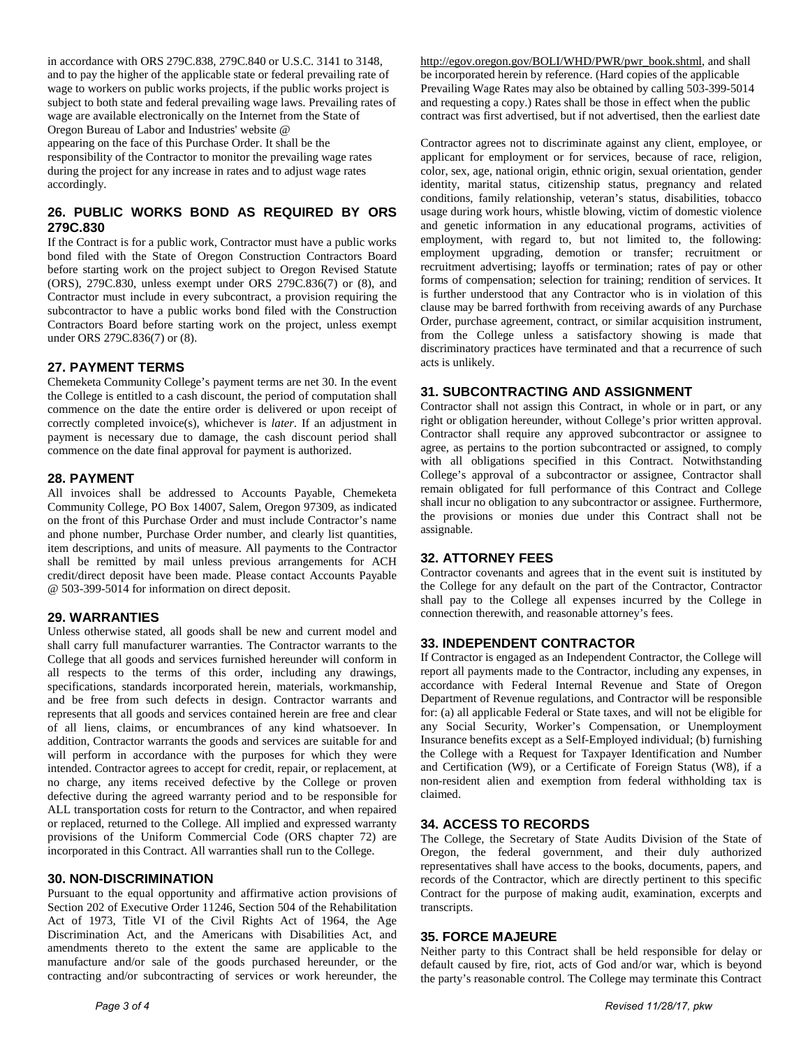in accordance with ORS 279C.838, 279C.840 or U.S.C. 3141 to 3148, and to pay the higher of the applicable state or federal prevailing rate of wage to workers on public works projects, if the public works project is subject to both state and federal prevailing wage laws. Prevailing rates of wage are available electronically on the Internet from the State of Oregon Bureau of Labor and Industries' website @ appearing on the face of this Purchase Order. It shall be the responsibility of the Contractor to monitor the prevailing wage rates during the project for any increase in rates and to adjust wage rates

# **26. PUBLIC WORKS BOND AS REQUIRED BY ORS 279C.830**

If the Contract is for a public work, Contractor must have a public works bond filed with the State of Oregon Construction Contractors Board before starting work on the project subject to Oregon Revised Statute (ORS), 279C.830, unless exempt under ORS 279C.836(7) or (8), and Contractor must include in every subcontract, a provision requiring the subcontractor to have a public works bond filed with the Construction Contractors Board before starting work on the project, unless exempt under ORS 279C.836(7) or (8).

## **27. PAYMENT TERMS**

Chemeketa Community College's payment terms are net 30. In the event the College is entitled to a cash discount, the period of computation shall commence on the date the entire order is delivered or upon receipt of correctly completed invoice(s), whichever is *later*. If an adjustment in payment is necessary due to damage, the cash discount period shall commence on the date final approval for payment is authorized.

### **28. PAYMENT**

accordingly.

All invoices shall be addressed to Accounts Payable, Chemeketa Community College, PO Box 14007, Salem, Oregon 97309, as indicated on the front of this Purchase Order and must include Contractor's name and phone number, Purchase Order number, and clearly list quantities, item descriptions, and units of measure. All payments to the Contractor shall be remitted by mail unless previous arrangements for ACH credit/direct deposit have been made. Please contact Accounts Payable @ 503-399-5014 for information on direct deposit.

### **29. WARRANTIES**

Unless otherwise stated, all goods shall be new and current model and shall carry full manufacturer warranties. The Contractor warrants to the College that all goods and services furnished hereunder will conform in all respects to the terms of this order, including any drawings, specifications, standards incorporated herein, materials, workmanship, and be free from such defects in design. Contractor warrants and represents that all goods and services contained herein are free and clear of all liens, claims, or encumbrances of any kind whatsoever. In addition, Contractor warrants the goods and services are suitable for and will perform in accordance with the purposes for which they were intended. Contractor agrees to accept for credit, repair, or replacement, at no charge, any items received defective by the College or proven defective during the agreed warranty period and to be responsible for ALL transportation costs for return to the Contractor, and when repaired or replaced, returned to the College. All implied and expressed warranty provisions of the Uniform Commercial Code (ORS chapter 72) are incorporated in this Contract. All warranties shall run to the College.

### **30. NON-DISCRIMINATION**

Pursuant to the equal opportunity and affirmative action provisions of Section 202 of Executive Order 11246, Section 504 of the Rehabilitation Act of 1973, Title VI of the Civil Rights Act of 1964, the Age Discrimination Act, and the Americans with Disabilities Act, and amendments thereto to the extent the same are applicable to the manufacture and/or sale of the goods purchased hereunder, or the contracting and/or subcontracting of services or work hereunder, the

[http://egov.oregon.gov/BOLI/WHD/PWR/pwr\\_book.shtml,](http://egov.oregon.gov/BOLI/WHD/PWR/pwr_book.shtml) and shall be incorporated herein by reference. (Hard copies of the applicable Prevailing Wage Rates may also be obtained by calling 503-399-5014 and requesting a copy.) Rates shall be those in effect when the public contract was first advertised, but if not advertised, then the earliest date

Contractor agrees not to discriminate against any client, employee, or applicant for employment or for services, because of race, religion, color, sex, age, national origin, ethnic origin, sexual orientation, gender identity, marital status, citizenship status, pregnancy and related conditions, family relationship, veteran's status, disabilities, tobacco usage during work hours, whistle blowing, victim of domestic violence and genetic information in any educational programs, activities of employment, with regard to, but not limited to, the following: employment upgrading, demotion or transfer; recruitment or recruitment advertising; layoffs or termination; rates of pay or other forms of compensation; selection for training; rendition of services. It is further understood that any Contractor who is in violation of this clause may be barred forthwith from receiving awards of any Purchase Order, purchase agreement, contract, or similar acquisition instrument, from the College unless a satisfactory showing is made that discriminatory practices have terminated and that a recurrence of such acts is unlikely.

## **31. SUBCONTRACTING AND ASSIGNMENT**

Contractor shall not assign this Contract, in whole or in part, or any right or obligation hereunder, without College's prior written approval. Contractor shall require any approved subcontractor or assignee to agree, as pertains to the portion subcontracted or assigned, to comply with all obligations specified in this Contract. Notwithstanding College's approval of a subcontractor or assignee, Contractor shall remain obligated for full performance of this Contract and College shall incur no obligation to any subcontractor or assignee. Furthermore, the provisions or monies due under this Contract shall not be assignable.

## **32. ATTORNEY FEES**

Contractor covenants and agrees that in the event suit is instituted by the College for any default on the part of the Contractor, Contractor shall pay to the College all expenses incurred by the College in connection therewith, and reasonable attorney's fees.

## **33. INDEPENDENT CONTRACTOR**

If Contractor is engaged as an Independent Contractor, the College will report all payments made to the Contractor, including any expenses, in accordance with Federal Internal Revenue and State of Oregon Department of Revenue regulations, and Contractor will be responsible for: (a) all applicable Federal or State taxes, and will not be eligible for any Social Security, Worker's Compensation, or Unemployment Insurance benefits except as a Self-Employed individual; (b) furnishing the College with a Request for Taxpayer Identification and Number and Certification (W9), or a Certificate of Foreign Status (W8), if a non-resident alien and exemption from federal withholding tax is claimed.

## **34. ACCESS TO RECORDS**

The College, the Secretary of State Audits Division of the State of Oregon, the federal government, and their duly authorized representatives shall have access to the books, documents, papers, and records of the Contractor, which are directly pertinent to this specific Contract for the purpose of making audit, examination, excerpts and transcripts.

### **35. FORCE MAJEURE**

Neither party to this Contract shall be held responsible for delay or default caused by fire, riot, acts of God and/or war, which is beyond the party's reasonable control. The College may terminate this Contract